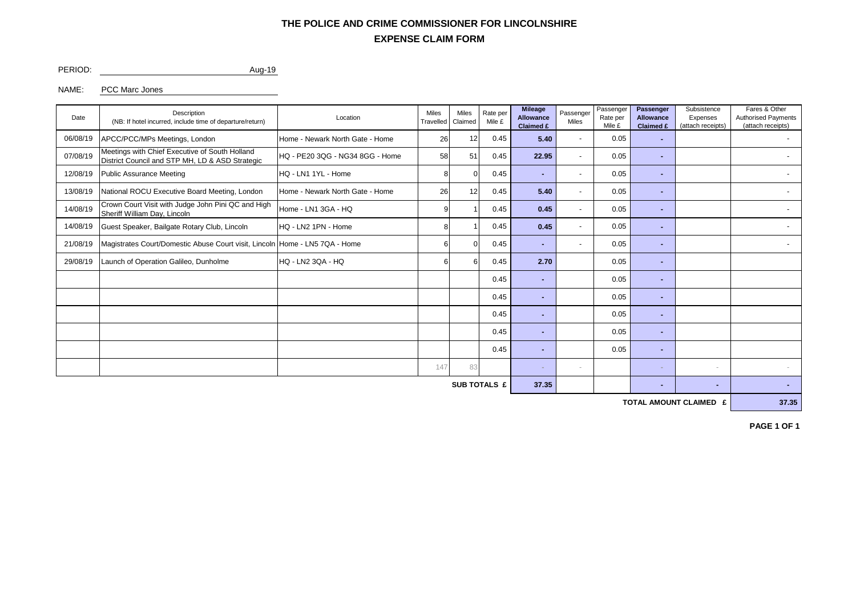## **EXPENSE CLAIM FORM THE POLICE AND CRIME COMMISSIONER FOR LINCOLNSHIRE**

PERIOD: Aug-19

## NAME: PCC Marc Jones

| Date                | Description<br>(NB: If hotel incurred, include time of departure/return)                          | Location                        | <b>Miles</b><br>Travelled | <b>Miles</b><br>Claimed | <b>Mileage</b><br>Rate per<br><b>Allowance</b><br>Mile £<br>Claimed £ |       | Passenger<br><b>Miles</b> | Passenger<br>Rate per<br>Mile £ | Passenger<br><b>Allowance</b><br>Claimed £ | Subsistence<br>Expenses<br>(attach receipts) | Fares & Other<br><b>Authorised Payments</b><br>(attach receipts) |  |
|---------------------|---------------------------------------------------------------------------------------------------|---------------------------------|---------------------------|-------------------------|-----------------------------------------------------------------------|-------|---------------------------|---------------------------------|--------------------------------------------|----------------------------------------------|------------------------------------------------------------------|--|
| 06/08/19            | APCC/PCC/MPs Meetings, London                                                                     | Home - Newark North Gate - Home |                           | 26<br>12                | 0.45                                                                  | 5.40  |                           | 0.05                            |                                            |                                              |                                                                  |  |
| 07/08/19            | Meetings with Chief Executive of South Holland<br>District Council and STP MH, LD & ASD Strategic | HQ - PE20 3QG - NG34 8GG - Home | 58                        | 51                      | 0.45                                                                  | 22.95 | $\overline{\phantom{a}}$  | 0.05                            | н.                                         |                                              |                                                                  |  |
| 12/08/19            | <b>Public Assurance Meeting</b>                                                                   | HQ - LN1 1YL - Home             | 8                         |                         | 0.45                                                                  |       | $\overline{\phantom{a}}$  | 0.05                            |                                            |                                              |                                                                  |  |
| 13/08/19            | National ROCU Executive Board Meeting, London                                                     | Home - Newark North Gate - Home | 26                        | 12                      | 0.45                                                                  | 5.40  | $\overline{a}$            | 0.05                            | н.                                         |                                              |                                                                  |  |
| 14/08/19            | Crown Court Visit with Judge John Pini QC and High<br>Sheriff William Day, Lincoln                | Home - LN1 3GA - HQ             | a                         |                         | 0.45                                                                  | 0.45  | $\overline{\phantom{a}}$  | 0.05                            | ۰.                                         |                                              |                                                                  |  |
| 14/08/19            | Guest Speaker, Bailgate Rotary Club, Lincoln                                                      | HQ - LN2 1PN - Home             |                           |                         | 0.45                                                                  | 0.45  | $\overline{\phantom{a}}$  | 0.05                            | ۰.                                         |                                              |                                                                  |  |
| 21/08/19            | Magistrates Court/Domestic Abuse Court visit, Lincoln Home - LN5 7QA - Home                       |                                 |                           | ∩                       | 0.45                                                                  | ÷.    | $\overline{\phantom{a}}$  | 0.05                            | н.                                         |                                              | $\blacksquare$                                                   |  |
| 29/08/19            | Launch of Operation Galileo, Dunholme                                                             | HQ - LN2 3QA - HQ               |                           | ี                       | 0.45                                                                  | 2.70  |                           | 0.05                            | ۰.                                         |                                              |                                                                  |  |
|                     |                                                                                                   |                                 |                           |                         | 0.45                                                                  | ۰.    |                           | 0.05                            | н.                                         |                                              |                                                                  |  |
|                     |                                                                                                   |                                 |                           |                         | 0.45                                                                  | ۰.    |                           | 0.05                            | ۰.                                         |                                              |                                                                  |  |
|                     |                                                                                                   |                                 |                           |                         | 0.45                                                                  |       |                           | 0.05                            | ۰.                                         |                                              |                                                                  |  |
|                     |                                                                                                   |                                 |                           |                         | 0.45                                                                  | ۰.    |                           | 0.05                            | <b>м.</b>                                  |                                              |                                                                  |  |
|                     |                                                                                                   |                                 |                           |                         | 0.45                                                                  |       |                           | 0.05                            |                                            |                                              |                                                                  |  |
|                     |                                                                                                   |                                 | 147                       | 83                      |                                                                       |       | $\overline{\phantom{a}}$  |                                 |                                            | $\sim$                                       |                                                                  |  |
| <b>SUB TOTALS £</b> |                                                                                                   |                                 |                           |                         |                                                                       |       |                           |                                 |                                            | ۰                                            |                                                                  |  |

**TOTAL AMOUNT CLAIMED £** 37.35

**PAGE 1 OF 1**